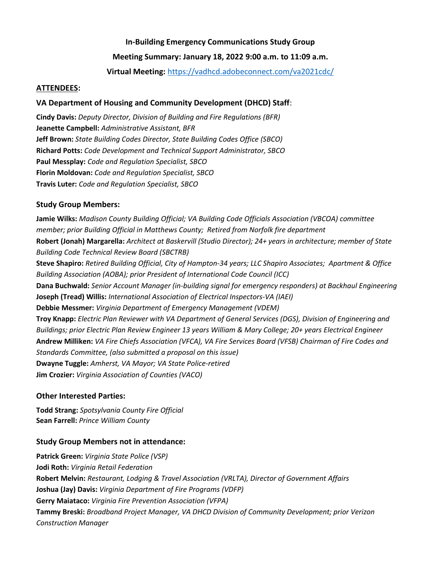# **In-Building Emergency Communications Study Group**

# **Meeting Summary: January 18, 2022 9:00 a.m. to 11:09 a.m.**

**Virtual Meeting:** <https://vadhcd.adobeconnect.com/va2021cdc/>

## **ATTENDEES:**

## **VA Department of Housing and Community Development (DHCD) Staff**:

**Cindy Davis:** *Deputy Director, Division of Building and Fire Regulations (BFR)* **Jeanette Campbell:** *Administrative Assistant, BFR* **Jeff Brown:** *State Building Codes Director, State Building Codes Office (SBCO)* **Richard Potts:** *Code Development and Technical Support Administrator, SBCO* **Paul Messplay:** *Code and Regulation Specialist, SBCO* **Florin Moldovan:** *Code and Regulation Specialist, SBCO* **Travis Luter:** *Code and Regulation Specialist, SBCO*

## **Study Group Members:**

**Jamie Wilks:** *Madison County Building Official; VA Building Code Officials Association (VBCOA) committee member; prior Building Official in Matthews County; Retired from Norfolk fire department* **Robert (Jonah) Margarella:** *Architect at Baskervill (Studio Director); 24+ years in architecture; member of State Building Code Technical Review Board (SBCTRB)* **Steve Shapiro:** *Retired Building Official, City of Hampton-34 years; LLC Shapiro Associates; Apartment & Office Building Association (AOBA); prior President of International Code Council (ICC)* **Dana Buchwald:** *Senior Account Manager (in-building signal for emergency responders) at Backhaul Engineering*  **Joseph (Tread) Willis:** *International Association of Electrical Inspectors-VA (IAEI)* **Debbie Messmer:** *Virginia Department of Emergency Management (VDEM)* **Troy Knapp:** *Electric Plan Reviewer with VA Department of General Services (DGS), Division of Engineering and Buildings; prior Electric Plan Review Engineer 13 years William & Mary College; 20+ years Electrical Engineer* **Andrew Milliken:** *VA Fire Chiefs Association (VFCA), VA Fire Services Board (VFSB) Chairman of Fire Codes and Standards Committee, (also submitted a proposal on this issue)* **Dwayne Tuggle:** *Amherst, VA Mayor; VA State Police-retired* **Jim Crozier:** *Virginia Association of Counties (VACO)*

# **Other Interested Parties:**

**Todd Strang:** *Spotsylvania County Fire Official* **Sean Farrell:** *Prince William County*

# **Study Group Members not in attendance:**

**Patrick Green:** *Virginia State Police (VSP)* **Jodi Roth:** *Virginia Retail Federation* **Robert Melvin:** *Restaurant, Lodging & Travel Association (VRLTA), Director of Government Affairs* **Joshua (Jay) Davis:** *Virginia Department of Fire Programs (VDFP)* **Gerry Maiataco:** *Virginia Fire Prevention Association (VFPA)* **Tammy Breski:** *Broadband Project Manager, VA DHCD Division of Community Development; prior Verizon Construction Manager*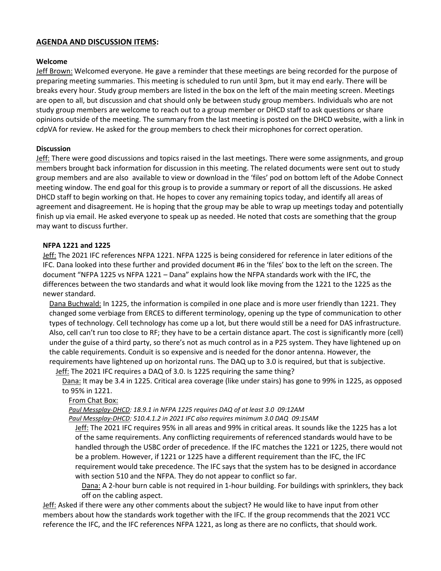## **AGENDA AND DISCUSSION ITEMS:**

#### **Welcome**

Jeff Brown: Welcomed everyone. He gave a reminder that these meetings are being recorded for the purpose of preparing meeting summaries. This meeting is scheduled to run until 3pm, but it may end early. There will be breaks every hour. Study group members are listed in the box on the left of the main meeting screen. Meetings are open to all, but discussion and chat should only be between study group members. Individuals who are not study group members are welcome to reach out to a group member or DHCD staff to ask questions or share opinions outside of the meeting. The summary from the last meeting is posted on the DHCD website, with a link in cdpVA for review. He asked for the group members to check their microphones for correct operation.

## **Discussion**

Jeff: There were good discussions and topics raised in the last meetings. There were some assignments, and group members brought back information for discussion in this meeting. The related documents were sent out to study group members and are also available to view or download in the 'files' pod on bottom left of the Adobe Connect meeting window. The end goal for this group is to provide a summary or report of all the discussions. He asked DHCD staff to begin working on that. He hopes to cover any remaining topics today, and identify all areas of agreement and disagreement. He is hoping that the group may be able to wrap up meetings today and potentially finish up via email. He asked everyone to speak up as needed. He noted that costs are something that the group may want to discuss further.

## **NFPA 1221 and 1225**

Jeff: The 2021 IFC references NFPA 1221. NFPA 1225 is being considered for reference in later editions of the IFC. Dana looked into these further and provided document #6 in the 'files' box to the left on the screen. The document "NFPA 1225 vs NFPA 1221 – Dana" explains how the NFPA standards work with the IFC, the differences between the two standards and what it would look like moving from the 1221 to the 1225 as the newer standard.

Dana Buchwald: In 1225, the information is compiled in one place and is more user friendly than 1221. They changed some verbiage from ERCES to different terminology, opening up the type of communication to other types of technology. Cell technology has come up a lot, but there would still be a need for DAS infrastructure. Also, cell can't run too close to RF; they have to be a certain distance apart. The cost is significantly more (cell) under the guise of a third party, so there's not as much control as in a P25 system. They have lightened up on the cable requirements. Conduit is so expensive and is needed for the donor antenna. However, the requirements have lightened up on horizontal runs. The DAQ up to 3.0 is required, but that is subjective.

Jeff: The 2021 IFC requires a DAQ of 3.0. Is 1225 requiring the same thing?

Dana: It may be 3.4 in 1225. Critical area coverage (like under stairs) has gone to 99% in 1225, as opposed to 95% in 1221.

From Chat Box:

*Paul Messplay-DHCD: 18.9.1 in NFPA 1225 requires DAQ of at least 3.0 09:12AM*

*Paul Messplay-DHCD: 510.4.1.2 in 2021 IFC also requires minimum 3.0 DAQ 09:15AM*

Jeff: The 2021 IFC requires 95% in all areas and 99% in critical areas. It sounds like the 1225 has a lot of the same requirements. Any conflicting requirements of referenced standards would have to be handled through the USBC order of precedence. If the IFC matches the 1221 or 1225, there would not be a problem. However, if 1221 or 1225 have a different requirement than the IFC, the IFC requirement would take precedence. The IFC says that the system has to be designed in accordance with section 510 and the NFPA. They do not appear to conflict so far.

Dana: A 2-hour burn cable is not required in 1-hour building. For buildings with sprinklers, they back off on the cabling aspect.

Jeff: Asked if there were any other comments about the subject? He would like to have input from other members about how the standards work together with the IFC. If the group recommends that the 2021 VCC reference the IFC, and the IFC references NFPA 1221, as long as there are no conflicts, that should work.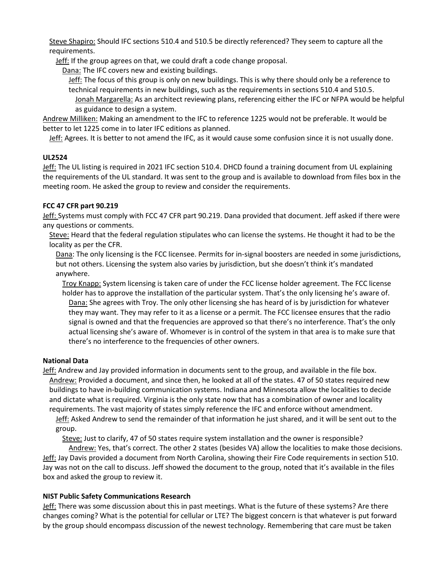Steve Shapiro: Should IFC sections 510.4 and 510.5 be directly referenced? They seem to capture all the requirements.

Jeff: If the group agrees on that, we could draft a code change proposal.

Dana: The IFC covers new and existing buildings.

Jeff: The focus of this group is only on new buildings. This is why there should only be a reference to technical requirements in new buildings, such as the requirements in sections 510.4 and 510.5.

Jonah Margarella: As an architect reviewing plans, referencing either the IFC or NFPA would be helpful as guidance to design a system.

Andrew Milliken: Making an amendment to the IFC to reference 1225 would not be preferable. It would be better to let 1225 come in to later IFC editions as planned.

Jeff: Agrees. It is better to not amend the IFC, as it would cause some confusion since it is not usually done.

## **UL2524**

Jeff: The UL listing is required in 2021 IFC section 510.4. DHCD found a training document from UL explaining the requirements of the UL standard. It was sent to the group and is available to download from files box in the meeting room. He asked the group to review and consider the requirements.

## **FCC 47 CFR part 90.219**

Jeff: Systems must comply with FCC 47 CFR part 90.219. Dana provided that document. Jeff asked if there were any questions or comments.

Steve: Heard that the federal regulation stipulates who can license the systems. He thought it had to be the locality as per the CFR.

Dana: The only licensing is the FCC licensee. Permits for in-signal boosters are needed in some jurisdictions, but not others. Licensing the system also varies by jurisdiction, but she doesn't think it's mandated anywhere.

Troy Knapp: System licensing is taken care of under the FCC license holder agreement. The FCC license holder has to approve the installation of the particular system. That's the only licensing he's aware of. Dana: She agrees with Troy. The only other licensing she has heard of is by jurisdiction for whatever they may want. They may refer to it as a license or a permit. The FCC licensee ensures that the radio signal is owned and that the frequencies are approved so that there's no interference. That's the only actual licensing she's aware of. Whomever is in control of the system in that area is to make sure that there's no interference to the frequencies of other owners.

# **National Data**

Jeff: Andrew and Jay provided information in documents sent to the group, and available in the file box. Andrew: Provided a document, and since then, he looked at all of the states. 47 of 50 states required new buildings to have in-building communication systems. Indiana and Minnesota allow the localities to decide and dictate what is required. Virginia is the only state now that has a combination of owner and locality requirements. The vast majority of states simply reference the IFC and enforce without amendment.

Jeff: Asked Andrew to send the remainder of that information he just shared, and it will be sent out to the group.

Steve: Just to clarify, 47 of 50 states require system installation and the owner is responsible?

Andrew: Yes, that's correct. The other 2 states (besides VA) allow the localities to make those decisions. Jeff: Jay Davis provided a document from North Carolina, showing their Fire Code requirements in section 510. Jay was not on the call to discuss. Jeff showed the document to the group, noted that it's available in the files box and asked the group to review it.

# **NIST Public Safety Communications Research**

Jeff: There was some discussion about this in past meetings. What is the future of these systems? Are there changes coming? What is the potential for cellular or LTE? The biggest concern is that whatever is put forward by the group should encompass discussion of the newest technology. Remembering that care must be taken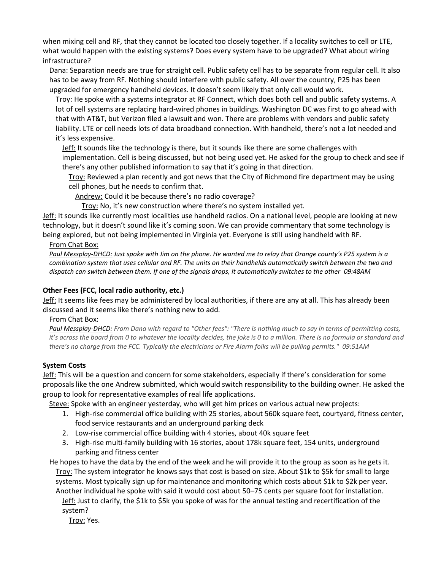when mixing cell and RF, that they cannot be located too closely together. If a locality switches to cell or LTE, what would happen with the existing systems? Does every system have to be upgraded? What about wiring infrastructure?

Dana: Separation needs are true for straight cell. Public safety cell has to be separate from regular cell. It also has to be away from RF. Nothing should interfere with public safety. All over the country, P25 has been upgraded for emergency handheld devices. It doesn't seem likely that only cell would work.

Troy: He spoke with a systems integrator at RF Connect, which does both cell and public safety systems. A lot of cell systems are replacing hard-wired phones in buildings. Washington DC was first to go ahead with that with AT&T, but Verizon filed a lawsuit and won. There are problems with vendors and public safety liability. LTE or cell needs lots of data broadband connection. With handheld, there's not a lot needed and it's less expensive.

Jeff: It sounds like the technology is there, but it sounds like there are some challenges with implementation. Cell is being discussed, but not being used yet. He asked for the group to check and see if there's any other published information to say that it's going in that direction.

Troy: Reviewed a plan recently and got news that the City of Richmond fire department may be using cell phones, but he needs to confirm that.

Andrew: Could it be because there's no radio coverage?

Troy: No, it's new construction where there's no system installed yet.

Jeff: It sounds like currently most localities use handheld radios. On a national level, people are looking at new technology, but it doesn't sound like it's coming soon. We can provide commentary that some technology is being explored, but not being implemented in Virginia yet. Everyone is still using handheld with RF.

#### From Chat Box:

*Paul Messplay-DHCD: Just spoke with Jim on the phone. He wanted me to relay that Orange county's P25 system is a combination system that uses cellular and RF. The units on their handhelds automatically switch between the two and dispatch can switch between them. If one of the signals drops, it automatically switches to the other 09:48AM*

## **Other Fees (FCC, local radio authority, etc.)**

Jeff: It seems like fees may be administered by local authorities, if there are any at all. This has already been discussed and it seems like there's nothing new to add.

From Chat Box:

*Paul Messplay-DHCD: From Dana with regard to "Other fees": "There is nothing much to say in terms of permitting costs, it's across the board from 0 to whatever the locality decides, the joke is 0 to a million. There is no formula or standard and there's no charge from the FCC. Typically the electricians or Fire Alarm folks will be pulling permits." 09:51AM*

## **System Costs**

Jeff: This will be a question and concern for some stakeholders, especially if there's consideration for some proposals like the one Andrew submitted, which would switch responsibility to the building owner. He asked the group to look for representative examples of real life applications.

Steve: Spoke with an engineer yesterday, who will get him prices on various actual new projects:

- 1. High-rise commercial office building with 25 stories, about 560k square feet, courtyard, fitness center, food service restaurants and an underground parking deck
- 2. Low-rise commercial office building with 4 stories, about 40k square feet
- 3. High-rise multi-family building with 16 stories, about 178k square feet, 154 units, underground parking and fitness center

He hopes to have the data by the end of the week and he will provide it to the group as soon as he gets it. Troy: The system integrator he knows says that cost is based on size. About \$1k to \$5k for small to large systems. Most typically sign up for maintenance and monitoring which costs about \$1k to \$2k per year. Another individual he spoke with said it would cost about 50–75 cents per square foot for installation. Jeff: Just to clarify, the \$1k to \$5k you spoke of was for the annual testing and recertification of the system?

Troy: Yes.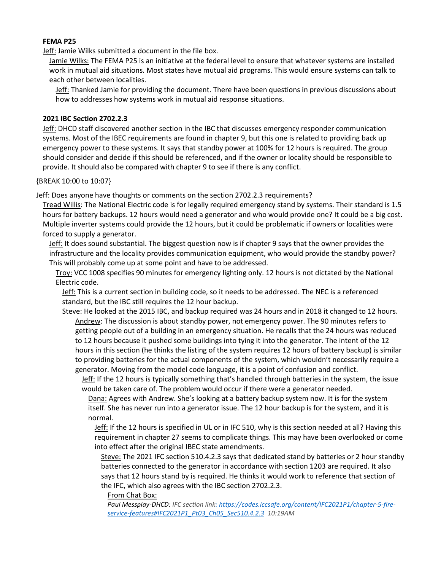## **FEMA P25**

Jeff: Jamie Wilks submitted a document in the file box.

Jamie Wilks: The FEMA P25 is an initiative at the federal level to ensure that whatever systems are installed work in mutual aid situations. Most states have mutual aid programs. This would ensure systems can talk to each other between localities.

Jeff: Thanked Jamie for providing the document. There have been questions in previous discussions about how to addresses how systems work in mutual aid response situations.

# **2021 IBC Section 2702.2.3**

Jeff: DHCD staff discovered another section in the IBC that discusses emergency responder communication systems. Most of the IBEC requirements are found in chapter 9, but this one is related to providing back up emergency power to these systems. It says that standby power at 100% for 12 hours is required. The group should consider and decide if this should be referenced, and if the owner or locality should be responsible to provide. It should also be compared with chapter 9 to see if there is any conflict.

{BREAK 10:00 to 10:07}

Jeff: Does anyone have thoughts or comments on the section 2702.2.3 requirements?

Tread Willis: The National Electric code is for legally required emergency stand by systems. Their standard is 1.5 hours for battery backups. 12 hours would need a generator and who would provide one? It could be a big cost. Multiple inverter systems could provide the 12 hours, but it could be problematic if owners or localities were forced to supply a generator.

Jeff: It does sound substantial. The biggest question now is if chapter 9 says that the owner provides the infrastructure and the locality provides communication equipment, who would provide the standby power? This will probably come up at some point and have to be addressed.

Troy: VCC 1008 specifies 90 minutes for emergency lighting only. 12 hours is not dictated by the National Electric code.

Jeff: This is a current section in building code, so it needs to be addressed. The NEC is a referenced standard, but the IBC still requires the 12 hour backup.

Steve: He looked at the 2015 IBC, and backup required was 24 hours and in 2018 it changed to 12 hours. Andrew: The discussion is about standby power, not emergency power. The 90 minutes refers to getting people out of a building in an emergency situation. He recalls that the 24 hours was reduced to 12 hours because it pushed some buildings into tying it into the generator. The intent of the 12 hours in this section (he thinks the listing of the system requires 12 hours of battery backup) is similar to providing batteries for the actual components of the system, which wouldn't necessarily require a generator. Moving from the model code language, it is a point of confusion and conflict.

**Jeff:** If the 12 hours is typically something that's handled through batteries in the system, the issue would be taken care of. The problem would occur if there were a generator needed.

Dana: Agrees with Andrew. She's looking at a battery backup system now. It is for the system itself. She has never run into a generator issue. The 12 hour backup is for the system, and it is normal.

Jeff: If the 12 hours is specified in UL or in IFC 510, why is this section needed at all? Having this requirement in chapter 27 seems to complicate things. This may have been overlooked or come into effect after the original IBEC state amendments.

Steve: The 2021 IFC section 510.4.2.3 says that dedicated stand by batteries or 2 hour standby batteries connected to the generator in accordance with section 1203 are required. It also says that 12 hours stand by is required. He thinks it would work to reference that section of the IFC, which also agrees with the IBC section 2702.2.3.

From Chat Box:

*Paul Messplay-DHCD: IFC section lin[k: https://codes.iccsafe.org/content/IFC2021P1/chapter-5-fire](https://codes.iccsafe.org/content/IFC2021P1/chapter-5-fire-service-features#IFC2021P1_Pt03_Ch05_Sec510.4.2.3)[service-features#IFC2021P1\\_Pt03\\_Ch05\\_Sec510.4.2.3](https://codes.iccsafe.org/content/IFC2021P1/chapter-5-fire-service-features#IFC2021P1_Pt03_Ch05_Sec510.4.2.3) 10:19AM*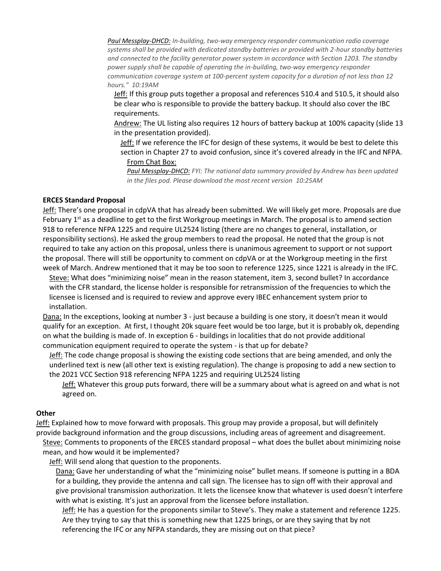*Paul Messplay-DHCD: In-building, two-way emergency responder communication radio coverage systems shall be provided with dedicated standby batteries or provided with 2-hour standby batteries and connected to the facility generator power system in accordance with Section 1203. The standby power supply shall be capable of operating the in-building, two-way emergency responder communication coverage system at 100-percent system capacity for a duration of not less than 12 hours." 10:19AM*

Jeff: If this group puts together a proposal and references 510.4 and 510.5, it should also be clear who is responsible to provide the battery backup. It should also cover the IBC requirements.

Andrew: The UL listing also requires 12 hours of battery backup at 100% capacity (slide 13 in the presentation provided).

Jeff: If we reference the IFC for design of these systems, it would be best to delete this section in Chapter 27 to avoid confusion, since it's covered already in the IFC and NFPA. From Chat Box:

*Paul Messplay-DHCD: FYI: The national data summary provided by Andrew has been updated in the files pod. Please download the most recent version 10:25AM*

#### **ERCES Standard Proposal**

Jeff: There's one proposal in cdpVA that has already been submitted. We will likely get more. Proposals are due February  $1<sup>st</sup>$  as a deadline to get to the first Workgroup meetings in March. The proposal is to amend section 918 to reference NFPA 1225 and require UL2524 listing (there are no changes to general, installation, or responsibility sections). He asked the group members to read the proposal. He noted that the group is not required to take any action on this proposal, unless there is unanimous agreement to support or not support the proposal. There will still be opportunity to comment on cdpVA or at the Workgroup meeting in the first week of March. Andrew mentioned that it may be too soon to reference 1225, since 1221 is already in the IFC.

Steve: What does "minimizing noise" mean in the reason statement, item 3, second bullet? In accordance with the CFR standard, the license holder is responsible for retransmission of the frequencies to which the licensee is licensed and is required to review and approve every IBEC enhancement system prior to installation.

Dana: In the exceptions, looking at number 3 - just because a building is one story, it doesn't mean it would qualify for an exception. At first, I thought 20k square feet would be too large, but it is probably ok, depending on what the building is made of. In exception 6 - buildings in localities that do not provide additional communication equipment required to operate the system - is that up for debate?

Jeff: The code change proposal is showing the existing code sections that are being amended, and only the underlined text is new (all other text is existing regulation). The change is proposing to add a new section to the 2021 VCC Section 918 referencing NFPA 1225 and requiring UL2524 listing

Jeff: Whatever this group puts forward, there will be a summary about what is agreed on and what is not agreed on.

#### **Other**

Jeff: Explained how to move forward with proposals. This group may provide a proposal, but will definitely provide background information and the group discussions, including areas of agreement and disagreement. Steve: Comments to proponents of the ERCES standard proposal - what does the bullet about minimizing noise mean, and how would it be implemented?

Jeff: Will send along that question to the proponents.

Dana: Gave her understanding of what the "minimizing noise" bullet means. If someone is putting in a BDA for a building, they provide the antenna and call sign. The licensee has to sign off with their approval and give provisional transmission authorization. It lets the licensee know that whatever is used doesn't interfere with what is existing. It's just an approval from the licensee before installation.

Jeff: He has a question for the proponents similar to Steve's. They make a statement and reference 1225. Are they trying to say that this is something new that 1225 brings, or are they saying that by not referencing the IFC or any NFPA standards, they are missing out on that piece?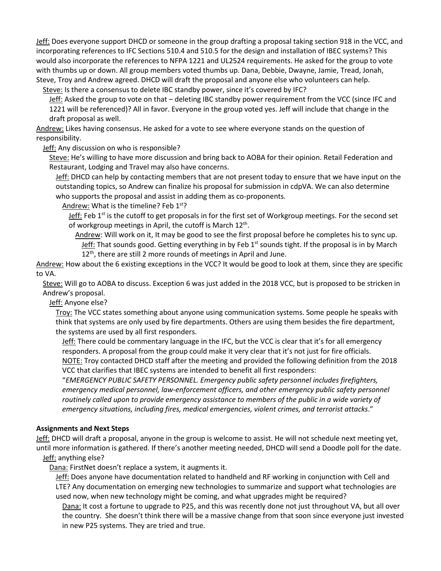Jeff: Does everyone support DHCD or someone in the group drafting a proposal taking section 918 in the VCC, and incorporating references to IFC Sections 510.4 and 510.5 for the design and installation of IBEC systems? This would also incorporate the references to NFPA 1221 and UL2524 requirements. He asked for the group to vote with thumbs up or down. All group members voted thumbs up. Dana, Debbie, Dwayne, Jamie, Tread, Jonah, Steve, Troy and Andrew agreed. DHCD will draft the proposal and anyone else who volunteers can help.

Steve: Is there a consensus to delete IBC standby power, since it's covered by IFC?

Jeff: Asked the group to vote on that - deleting IBC standby power requirement from the VCC (since IFC and 1221 will be referenced)? All in favor. Everyone in the group voted yes. Jeff will include that change in the draft proposal as well.

Andrew: Likes having consensus. He asked for a vote to see where everyone stands on the question of responsibility.

Jeff: Any discussion on who is responsible?

Steve: He's willing to have more discussion and bring back to AOBA for their opinion. Retail Federation and Restaurant, Lodging and Travel may also have concerns.

Jeff: DHCD can help by contacting members that are not present today to ensure that we have input on the outstanding topics, so Andrew can finalize his proposal for submission in cdpVA. We can also determine who supports the proposal and assist in adding them as co-proponents.

Andrew: What is the timeline? Feb 1<sup>st</sup>?

Jeff: Feb 1<sup>st</sup> is the cutoff to get proposals in for the first set of Workgroup meetings. For the second set of workgroup meetings in April, the cutoff is March 12<sup>th</sup>.

Andrew: Will work on it, It may be good to see the first proposal before he completes his to sync up. Jeff: That sounds good. Getting everything in by Feb  $1<sup>st</sup>$  sounds tight. If the proposal is in by March 12<sup>th</sup>, there are still 2 more rounds of meetings in April and June.

Andrew: How about the 6 existing exceptions in the VCC? It would be good to look at them, since they are specific to VA.

Steve: Will go to AOBA to discuss. Exception 6 was just added in the 2018 VCC, but is proposed to be stricken in Andrew's proposal.

Jeff: Anyone else?

Troy: The VCC states something about anyone using communication systems. Some people he speaks with think that systems are only used by fire departments. Others are using them besides the fire department, the systems are used by all first responders.

Jeff: There could be commentary language in the IFC, but the VCC is clear that it's for all emergency responders. A proposal from the group could make it very clear that it's not just for fire officials. NOTE: Troy contacted DHCD staff after the meeting and provided the following definition from the 2018 VCC that clarifies that IBEC systems are intended to benefit all first responders:

"*EMERGENCY PUBLIC SAFETY PERSONNEL. Emergency public safety personnel includes firefighters, emergency medical personnel, law-enforcement officers, and other emergency public safety personnel routinely called upon to provide emergency assistance to members of the public in a wide variety of emergency situations, including fires, medical emergencies, violent crimes, and terrorist attacks*."

#### **Assignments and Next Steps**

Jeff: DHCD will draft a proposal, anyone in the group is welcome to assist. He will not schedule next meeting yet, until more information is gathered. If there's another meeting needed, DHCD will send a Doodle poll for the date. Jeff: anything else?

Dana: FirstNet doesn't replace a system, it augments it.

Jeff: Does anyone have documentation related to handheld and RF working in conjunction with Cell and LTE? Any documentation on emerging new technologies to summarize and support what technologies are used now, when new technology might be coming, and what upgrades might be required?

Dana: It cost a fortune to upgrade to P25, and this was recently done not just throughout VA, but all over the country. She doesn't think there will be a massive change from that soon since everyone just invested in new P25 systems. They are tried and true.